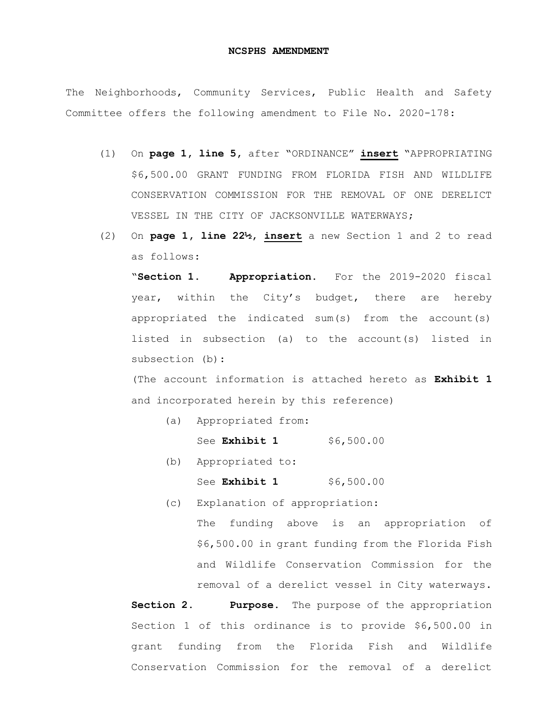## **NCSPHS AMENDMENT**

The Neighborhoods, Community Services, Public Health and Safety Committee offers the following amendment to File No. 2020-178:

- (1) On **page 1, line 5,** after "ORDINANCE" **insert** "APPROPRIATING \$6,500.00 GRANT FUNDING FROM FLORIDA FISH AND WILDLIFE CONSERVATION COMMISSION FOR THE REMOVAL OF ONE DERELICT VESSEL IN THE CITY OF JACKSONVILLE WATERWAYS;
- (2) On **page 1, line 22½, insert** a new Section 1 and 2 to read as follows:

"**Section 1. Appropriation.** For the 2019-2020 fiscal year, within the City's budget, there are hereby appropriated the indicated sum(s) from the account(s) listed in subsection (a) to the account(s) listed in subsection (b):

(The account information is attached hereto as **Exhibit 1** and incorporated herein by this reference)

(a) Appropriated from:

See **Exhibit 1** \$6,500.00

- (b) Appropriated to:
	- See **Exhibit 1** \$6,500.00
- (c) Explanation of appropriation:

The funding above is an appropriation of \$6,500.00 in grant funding from the Florida Fish and Wildlife Conservation Commission for the removal of a derelict vessel in City waterways.

**Section 2. Purpose.** The purpose of the appropriation Section 1 of this ordinance is to provide \$6,500.00 in grant funding from the Florida Fish and Wildlife Conservation Commission for the removal of a derelict